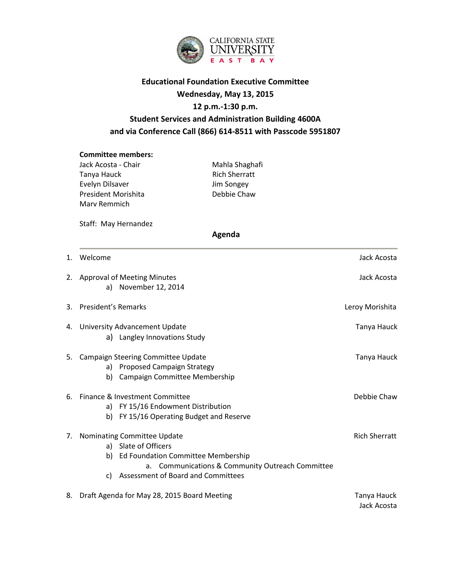

# **Educational Foundation Executive Committee Wednesday, May 13, 2015 12 p.m.-1:30 p.m. Student Services and Administration Building 4600A and via Conference Call (866) 614-8511 with Passcode 5951807**

### **Committee members:**

Jack Acosta - Chair **Mahla Shaghafi** Tanya Hauck **Rich Sherratt** Evelyn Dilsaver Jim Songey President Morishita **Debbie Chaw** Marv Remmich

Staff: May Hernandez

 **Agenda**

| 1. | Welcome                                                                                                                                                                                                | Jack Acosta                |
|----|--------------------------------------------------------------------------------------------------------------------------------------------------------------------------------------------------------|----------------------------|
|    | 2. Approval of Meeting Minutes<br>a) November 12, 2014                                                                                                                                                 | Jack Acosta                |
| 3. | <b>President's Remarks</b>                                                                                                                                                                             | Leroy Morishita            |
|    | 4. University Advancement Update<br>a) Langley Innovations Study                                                                                                                                       | Tanya Hauck                |
| 5. | Campaign Steering Committee Update<br>a) Proposed Campaign Strategy<br>Campaign Committee Membership<br>b)                                                                                             | Tanya Hauck                |
| 6. | Finance & Investment Committee<br>a) FY 15/16 Endowment Distribution<br>FY 15/16 Operating Budget and Reserve<br>b)                                                                                    | Debbie Chaw                |
| 7. | Nominating Committee Update<br>a) Slate of Officers<br>Ed Foundation Committee Membership<br>b)<br>a. Communications & Community Outreach Committee<br><b>Assessment of Board and Committees</b><br>C) | <b>Rich Sherratt</b>       |
| 8. | Draft Agenda for May 28, 2015 Board Meeting                                                                                                                                                            | Tanya Hauck<br>Jack Acosta |